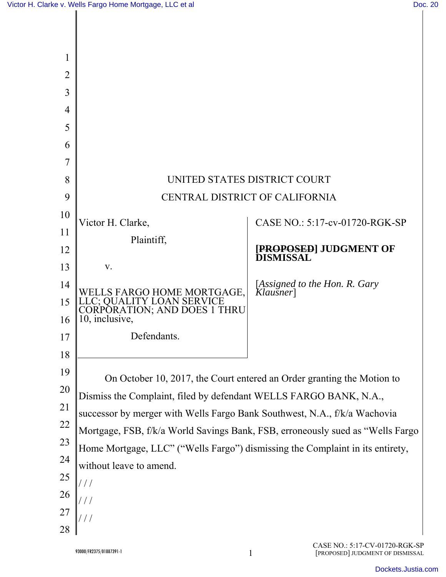Ι ∥

| 1              |                                                                                 |                                                  |  |  |
|----------------|---------------------------------------------------------------------------------|--------------------------------------------------|--|--|
| $\overline{2}$ |                                                                                 |                                                  |  |  |
| 3              |                                                                                 |                                                  |  |  |
| $\overline{4}$ |                                                                                 |                                                  |  |  |
| 5              |                                                                                 |                                                  |  |  |
| 6              |                                                                                 |                                                  |  |  |
| 7              |                                                                                 |                                                  |  |  |
| 8              | UNITED STATES DISTRICT COURT                                                    |                                                  |  |  |
| 9              | CENTRAL DISTRICT OF CALIFORNIA                                                  |                                                  |  |  |
| 10             | Victor H. Clarke,                                                               | CASE NO.: 5:17-cv-01720-RGK-SP                   |  |  |
| 11             | Plaintiff,                                                                      |                                                  |  |  |
| 12             |                                                                                 | [ <del>PROPOSED</del> ] JUDGMENT OF<br>DISMISSAL |  |  |
| 13             | V.                                                                              |                                                  |  |  |
| 14             | WELLS FARGO HOME MORTGAGE,                                                      | [Assigned to the Hon. R. Gary<br>Klausner]       |  |  |
| 15             | LLC; QUALITY LOAN SERVICE<br>CORPORATION; AND DOES 1 THRU<br>10, inclusive,     |                                                  |  |  |
| 16<br>17       | Defendants.                                                                     |                                                  |  |  |
| 18             |                                                                                 |                                                  |  |  |
| 19             |                                                                                 |                                                  |  |  |
| 20             | On October 10, 2017, the Court entered an Order granting the Motion to          |                                                  |  |  |
| 21             | Dismiss the Complaint, filed by defendant WELLS FARGO BANK, N.A.,               |                                                  |  |  |
| 22             | successor by merger with Wells Fargo Bank Southwest, N.A., f/k/a Wachovia       |                                                  |  |  |
| 23             | Mortgage, FSB, f/k/a World Savings Bank, FSB, erroneously sued as "Wells Fargo" |                                                  |  |  |
| 24             | Home Mortgage, LLC" ("Wells Fargo") dismissing the Complaint in its entirety,   |                                                  |  |  |
| 25             | without leave to amend.                                                         |                                                  |  |  |
| 26             | $\frac{1}{2}$                                                                   |                                                  |  |  |
| 27             | //                                                                              |                                                  |  |  |
| 28             | $\frac{1}{2}$                                                                   |                                                  |  |  |
|                |                                                                                 |                                                  |  |  |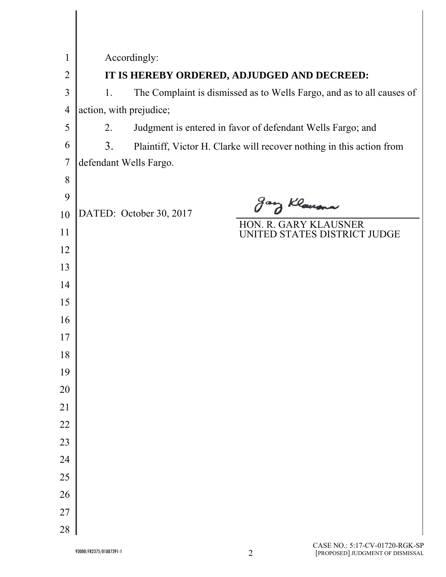| $\mathbf 1$    | Accordingly:                                |                                                                       |                                     |  |  |
|----------------|---------------------------------------------|-----------------------------------------------------------------------|-------------------------------------|--|--|
| $\overline{2}$ | IT IS HEREBY ORDERED, ADJUDGED AND DECREED: |                                                                       |                                     |  |  |
| 3              | 1.                                          | The Complaint is dismissed as to Wells Fargo, and as to all causes of |                                     |  |  |
| $\overline{4}$ | action, with prejudice;                     |                                                                       |                                     |  |  |
| 5              | 2.                                          | Judgment is entered in favor of defendant Wells Fargo; and            |                                     |  |  |
| 6              | 3 <sub>1</sub>                              | Plaintiff, Victor H. Clarke will recover nothing in this action from  |                                     |  |  |
| $\overline{7}$ | defendant Wells Fargo.                      |                                                                       |                                     |  |  |
| 8              |                                             |                                                                       |                                     |  |  |
| 9              |                                             |                                                                       |                                     |  |  |
| 10             | DATED: October 30, 2017                     |                                                                       | Jay Klauma<br>HON. R. GARY KLAUSNER |  |  |
| 11             |                                             |                                                                       | UNITED STATES DISTRICT JUDGE        |  |  |
| 12             |                                             |                                                                       |                                     |  |  |
| 13             |                                             |                                                                       |                                     |  |  |
| 14             |                                             |                                                                       |                                     |  |  |
| 15             |                                             |                                                                       |                                     |  |  |
| 16             |                                             |                                                                       |                                     |  |  |
| 17             |                                             |                                                                       |                                     |  |  |
| 18             |                                             |                                                                       |                                     |  |  |
| 19             |                                             |                                                                       |                                     |  |  |
| 20             |                                             |                                                                       |                                     |  |  |
| 21             |                                             |                                                                       |                                     |  |  |
| $22\,$         |                                             |                                                                       |                                     |  |  |
| 23             |                                             |                                                                       |                                     |  |  |
| 24             |                                             |                                                                       |                                     |  |  |
| 25             |                                             |                                                                       |                                     |  |  |
| 26             |                                             |                                                                       |                                     |  |  |
| $27\,$         |                                             |                                                                       |                                     |  |  |
| 28             |                                             |                                                                       |                                     |  |  |

 $\mathbf I$ 

∥